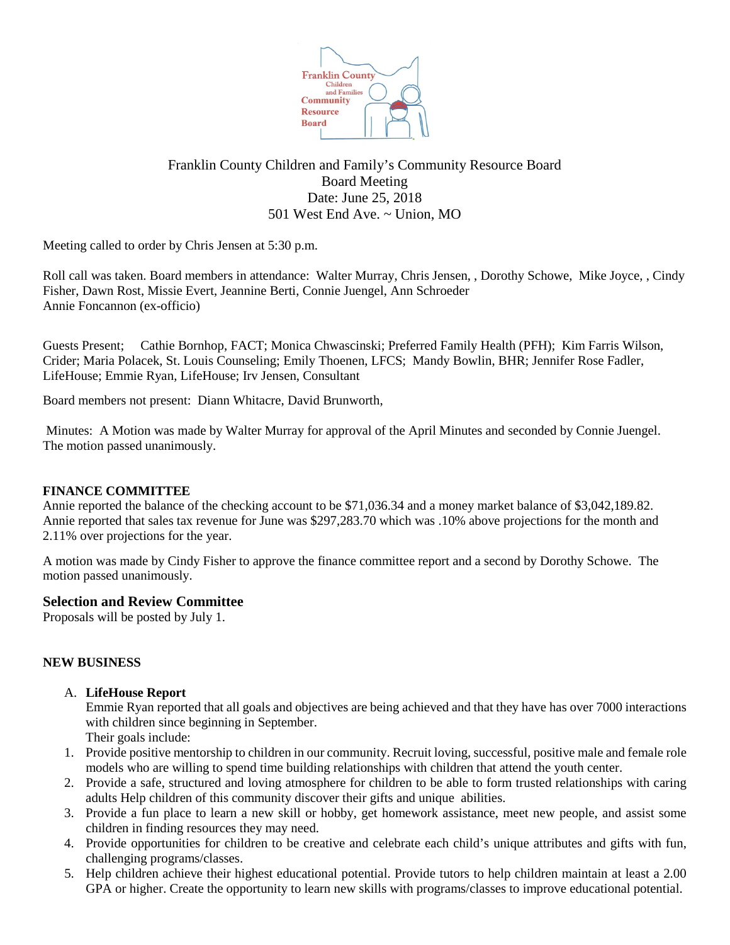

# Franklin County Children and Family's Community Resource Board Board Meeting Date: June 25, 2018 501 West End Ave. ~ Union, MO

Meeting called to order by Chris Jensen at 5:30 p.m.

Roll call was taken. Board members in attendance: Walter Murray, Chris Jensen, , Dorothy Schowe, Mike Joyce, , Cindy Fisher, Dawn Rost, Missie Evert, Jeannine Berti, Connie Juengel, Ann Schroeder Annie Foncannon (ex-officio)

Guests Present; Cathie Bornhop, FACT; Monica Chwascinski; Preferred Family Health (PFH); Kim Farris Wilson, Crider; Maria Polacek, St. Louis Counseling; Emily Thoenen, LFCS; Mandy Bowlin, BHR; Jennifer Rose Fadler, LifeHouse; Emmie Ryan, LifeHouse; Irv Jensen, Consultant

Board members not present: Diann Whitacre, David Brunworth,

Minutes: A Motion was made by Walter Murray for approval of the April Minutes and seconded by Connie Juengel. The motion passed unanimously.

## **FINANCE COMMITTEE**

Annie reported the balance of the checking account to be \$71,036.34 and a money market balance of \$3,042,189.82. Annie reported that sales tax revenue for June was \$297,283.70 which was .10% above projections for the month and 2.11% over projections for the year.

A motion was made by Cindy Fisher to approve the finance committee report and a second by Dorothy Schowe. The motion passed unanimously.

## **Selection and Review Committee**

Proposals will be posted by July 1.

#### **NEW BUSINESS**

A. **LifeHouse Report**

Emmie Ryan reported that all goals and objectives are being achieved and that they have has over 7000 interactions with children since beginning in September. Their goals include:

- 1. Provide positive mentorship to children in our community. Recruit loving, successful, positive male and female role models who are willing to spend time building relationships with children that attend the youth center.
- 2. Provide a safe, structured and loving atmosphere for children to be able to form trusted relationships with caring adults Help children of this community discover their gifts and unique abilities.
- 3. Provide a fun place to learn a new skill or hobby, get homework assistance, meet new people, and assist some children in finding resources they may need.
- 4. Provide opportunities for children to be creative and celebrate each child's unique attributes and gifts with fun, challenging programs/classes.
- 5. Help children achieve their highest educational potential. Provide tutors to help children maintain at least a 2.00 GPA or higher. Create the opportunity to learn new skills with programs/classes to improve educational potential.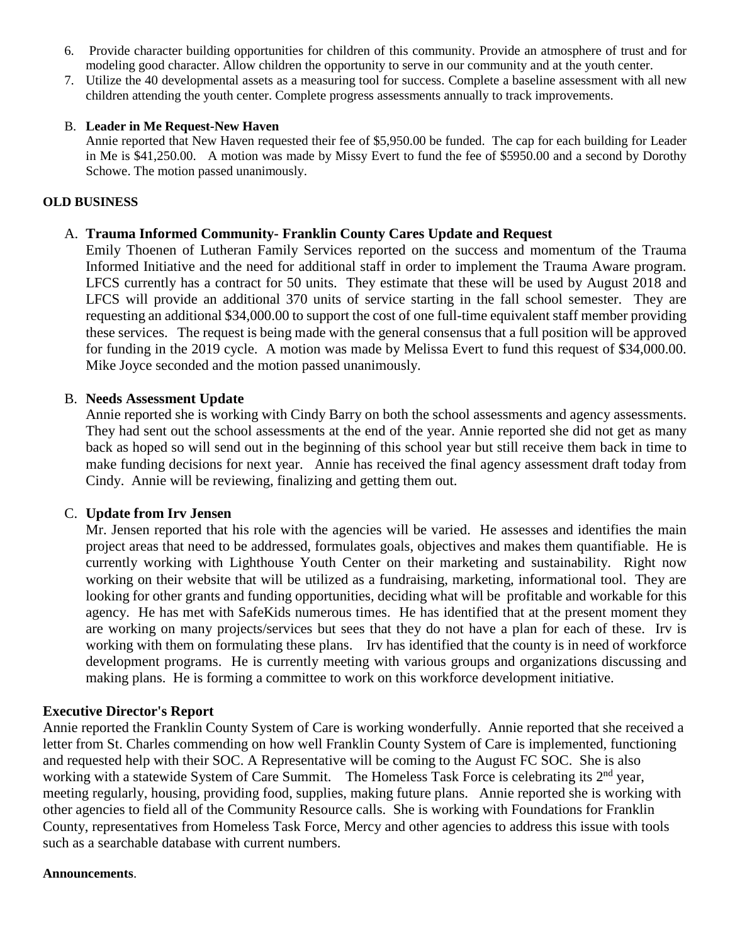- 6. Provide character building opportunities for children of this community. Provide an atmosphere of trust and for modeling good character. Allow children the opportunity to serve in our community and at the youth center.
- 7. Utilize the 40 developmental assets as a measuring tool for success. Complete a baseline assessment with all new children attending the youth center. Complete progress assessments annually to track improvements.

## B. **Leader in Me Request-New Haven**

Annie reported that New Haven requested their fee of \$5,950.00 be funded. The cap for each building for Leader in Me is \$41,250.00. A motion was made by Missy Evert to fund the fee of \$5950.00 and a second by Dorothy Schowe. The motion passed unanimously.

### **OLD BUSINESS**

## A. **Trauma Informed Community- Franklin County Cares Update and Request**

Emily Thoenen of Lutheran Family Services reported on the success and momentum of the Trauma Informed Initiative and the need for additional staff in order to implement the Trauma Aware program. LFCS currently has a contract for 50 units. They estimate that these will be used by August 2018 and LFCS will provide an additional 370 units of service starting in the fall school semester. They are requesting an additional \$34,000.00 to support the cost of one full-time equivalent staff member providing these services. The request is being made with the general consensus that a full position will be approved for funding in the 2019 cycle. A motion was made by Melissa Evert to fund this request of \$34,000.00. Mike Joyce seconded and the motion passed unanimously.

## B. **Needs Assessment Update**

Annie reported she is working with Cindy Barry on both the school assessments and agency assessments. They had sent out the school assessments at the end of the year. Annie reported she did not get as many back as hoped so will send out in the beginning of this school year but still receive them back in time to make funding decisions for next year. Annie has received the final agency assessment draft today from Cindy. Annie will be reviewing, finalizing and getting them out.

#### C. **Update from Irv Jensen**

Mr. Jensen reported that his role with the agencies will be varied. He assesses and identifies the main project areas that need to be addressed, formulates goals, objectives and makes them quantifiable. He is currently working with Lighthouse Youth Center on their marketing and sustainability. Right now working on their website that will be utilized as a fundraising, marketing, informational tool. They are looking for other grants and funding opportunities, deciding what will be profitable and workable for this agency. He has met with SafeKids numerous times. He has identified that at the present moment they are working on many projects/services but sees that they do not have a plan for each of these. Irv is working with them on formulating these plans. Irv has identified that the county is in need of workforce development programs. He is currently meeting with various groups and organizations discussing and making plans. He is forming a committee to work on this workforce development initiative.

## **Executive Director's Report**

Annie reported the Franklin County System of Care is working wonderfully. Annie reported that she received a letter from St. Charles commending on how well Franklin County System of Care is implemented, functioning and requested help with their SOC. A Representative will be coming to the August FC SOC. She is also working with a statewide System of Care Summit. The Homeless Task Force is celebrating its 2<sup>nd</sup> year, meeting regularly, housing, providing food, supplies, making future plans. Annie reported she is working with other agencies to field all of the Community Resource calls. She is working with Foundations for Franklin County, representatives from Homeless Task Force, Mercy and other agencies to address this issue with tools such as a searchable database with current numbers.

#### **Announcements**.